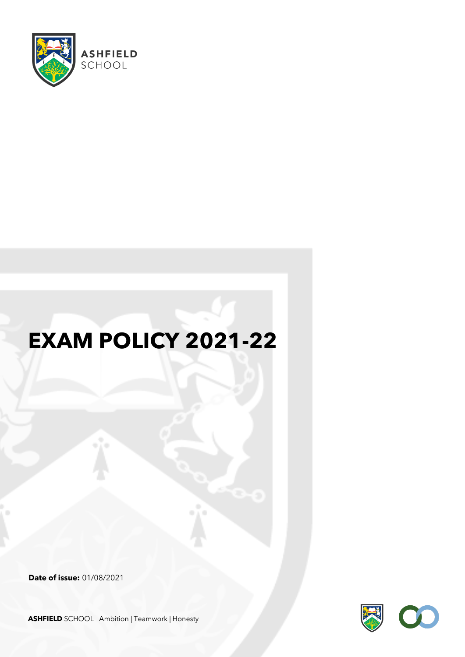

# **EXAM POLICY 2021-22**

**Date of issue:** 01/08/2021



**ASHFIELD** SCHOOL Ambition | Teamwork | Honesty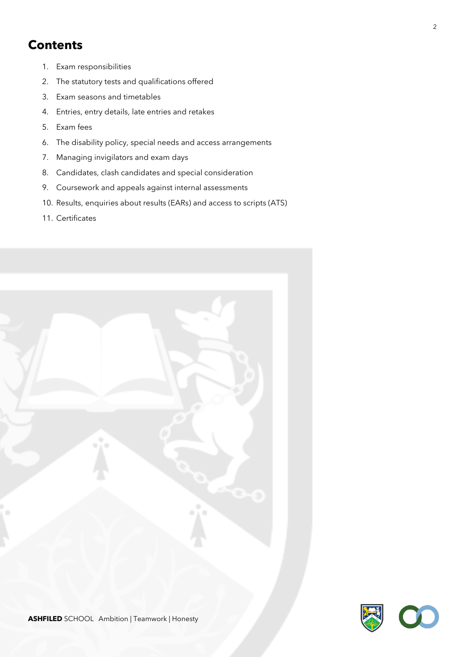# **Contents**

- 1. Exam responsibilities
- 2. The statutory tests and qualifications offered
- 3. Exam seasons and timetables
- 4. Entries, entry details, late entries and retakes
- 5. Exam fees
- 6. The disability policy, special needs and access arrangements
- 7. Managing invigilators and exam days
- 8. Candidates, clash candidates and special consideration
- 9. Coursework and appeals against internal assessments
- 10. Results, enquiries about results (EARs) and access to scripts (ATS)
- 11. Certificates



2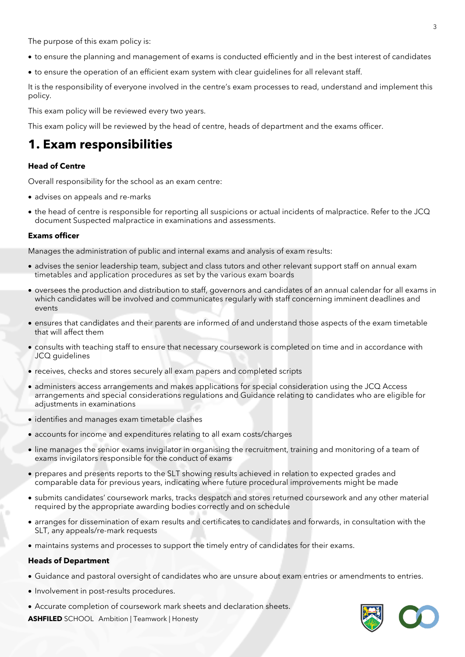The purpose of this exam policy is:

- to ensure the planning and management of exams is conducted efficiently and in the best interest of candidates
- to ensure the operation of an efficient exam system with clear guidelines for all relevant staff.

It is the responsibility of everyone involved in the centre's exam processes to read, understand and implement this policy.

This exam policy will be reviewed every two years.

This exam policy will be reviewed by the head of centre, heads of department and the exams officer.

# **1. Exam responsibilities**

### **Head of Centre**

Overall responsibility for the school as an exam centre:

- advises on appeals and re-marks
- the head of centre is responsible for reporting all suspicions or actual incidents of malpractice. Refer to the JCQ document Suspected malpractice in examinations and assessments.

### **Exams officer**

Manages the administration of public and internal exams and analysis of exam results:

- advises the senior leadership team, subject and class tutors and other relevant support staff on annual exam timetables and application procedures as set by the various exam boards
- oversees the production and distribution to staff, governors and candidates of an annual calendar for all exams in which candidates will be involved and communicates regularly with staff concerning imminent deadlines and events
- ensures that candidates and their parents are informed of and understand those aspects of the exam timetable that will affect them
- consults with teaching staff to ensure that necessary coursework is completed on time and in accordance with JCQ guidelines
- receives, checks and stores securely all exam papers and completed scripts
- administers access arrangements and makes applications for special consideration using the JCQ Access arrangements and special considerations regulations and Guidance relating to candidates who are eligible for adjustments in examinations
- identifies and manages exam timetable clashes
- accounts for income and expenditures relating to all exam costs/charges
- line manages the senior exams invigilator in organising the recruitment, training and monitoring of a team of exams invigilators responsible for the conduct of exams
- prepares and presents reports to the SLT showing results achieved in relation to expected grades and comparable data for previous years, indicating where future procedural improvements might be made
- submits candidates' coursework marks, tracks despatch and stores returned coursework and any other material required by the appropriate awarding bodies correctly and on schedule
- arranges for dissemination of exam results and certificates to candidates and forwards, in consultation with the SLT, any appeals/re-mark requests
- maintains systems and processes to support the timely entry of candidates for their exams.

#### **Heads of Department**

- Guidance and pastoral oversight of candidates who are unsure about exam entries or amendments to entries.
- Involvement in post-results procedures.
- Accurate completion of coursework mark sheets and declaration sheets.

**ASHFILED** SCHOOL Ambition | Teamwork | Honesty

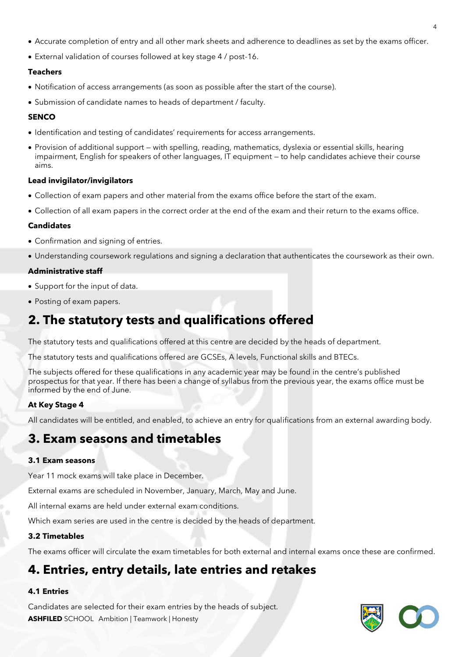- Accurate completion of entry and all other mark sheets and adherence to deadlines as set by the exams officer.
- External validation of courses followed at key stage 4 / post-16.

### **Teachers**

- Notification of access arrangements (as soon as possible after the start of the course).
- Submission of candidate names to heads of department / faculty.

### **SENCO**

- Identification and testing of candidates' requirements for access arrangements.
- Provision of additional support with spelling, reading, mathematics, dyslexia or essential skills, hearing impairment, English for speakers of other languages, IT equipment — to help candidates achieve their course aims.

### **Lead invigilator/invigilators**

- Collection of exam papers and other material from the exams office before the start of the exam.
- Collection of all exam papers in the correct order at the end of the exam and their return to the exams office.

### **Candidates**

- Confirmation and signing of entries.
- Understanding coursework regulations and signing a declaration that authenticates the coursework as their own.

### **Administrative staff**

- Support for the input of data.
- Posting of exam papers.

# **2. The statutory tests and qualifications offered**

The statutory tests and qualifications offered at this centre are decided by the heads of department.

The statutory tests and qualifications offered are GCSEs, A levels, Functional skills and BTECs.

The subjects offered for these qualifications in any academic year may be found in the centre's published prospectus for that year. If there has been a change of syllabus from the previous year, the exams office must be informed by the end of June.

### **At Key Stage 4**

All candidates will be entitled, and enabled, to achieve an entry for qualifications from an external awarding body.

# **3. Exam seasons and timetables**

### **3.1 Exam seasons**

Year 11 mock exams will take place in December.

External exams are scheduled in November, January, March, May and June.

All internal exams are held under external exam conditions.

Which exam series are used in the centre is decided by the heads of department.

### **3.2 Timetables**

The exams officer will circulate the exam timetables for both external and internal exams once these are confirmed.

# **4. Entries, entry details, late entries and retakes**

### **4.1 Entries**

**ASHFILED** SCHOOL Ambition | Teamwork | Honesty Candidates are selected for their exam entries by the heads of subject.

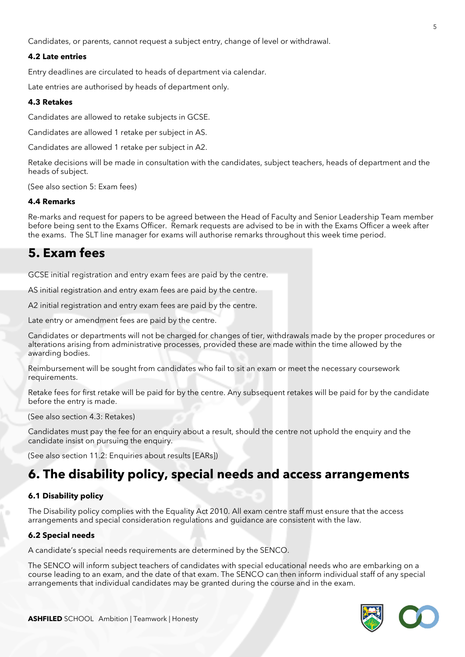Candidates, or parents, cannot request a subject entry, change of level or withdrawal.

### **4.2 Late entries**

Entry deadlines are circulated to heads of department via calendar.

Late entries are authorised by heads of department only.

### **4.3 Retakes**

Candidates are allowed to retake subjects in GCSE.

Candidates are allowed 1 retake per subject in AS.

Candidates are allowed 1 retake per subject in A2.

Retake decisions will be made in consultation with the candidates, subject teachers, heads of department and the heads of subject.

(See also section 5: Exam fees)

### **4.4 Remarks**

Re-marks and request for papers to be agreed between the Head of Faculty and Senior Leadership Team member before being sent to the Exams Officer. Remark requests are advised to be in with the Exams Officer a week after the exams. The SLT line manager for exams will authorise remarks throughout this week time period.

### **5. Exam fees**

GCSE initial registration and entry exam fees are paid by the centre.

AS initial registration and entry exam fees are paid by the centre.

A2 initial registration and entry exam fees are paid by the centre.

Late entry or amendment fees are paid by the centre.

Candidates or departments will not be charged for changes of tier, withdrawals made by the proper procedures or alterations arising from administrative processes, provided these are made within the time allowed by the awarding bodies.

Reimbursement will be sought from candidates who fail to sit an exam or meet the necessary coursework requirements.

Retake fees for first retake will be paid for by the centre. Any subsequent retakes will be paid for by the candidate before the entry is made.

(See also section 4.3: Retakes)

Candidates must pay the fee for an enquiry about a result, should the centre not uphold the enquiry and the candidate insist on pursuing the enquiry.

(See also section 11.2: Enquiries about results [EARs])

# **6. The disability policy, special needs and access arrangements**

### **6.1 Disability policy**

The Disability policy complies with the Equality Act 2010. All exam centre staff must ensure that the access arrangements and special consideration regulations and guidance are consistent with the law.

### **6.2 Special needs**

A candidate's special needs requirements are determined by the SENCO.

The SENCO will inform subject teachers of candidates with special educational needs who are embarking on a course leading to an exam, and the date of that exam. The SENCO can then inform individual staff of any special arrangements that individual candidates may be granted during the course and in the exam.

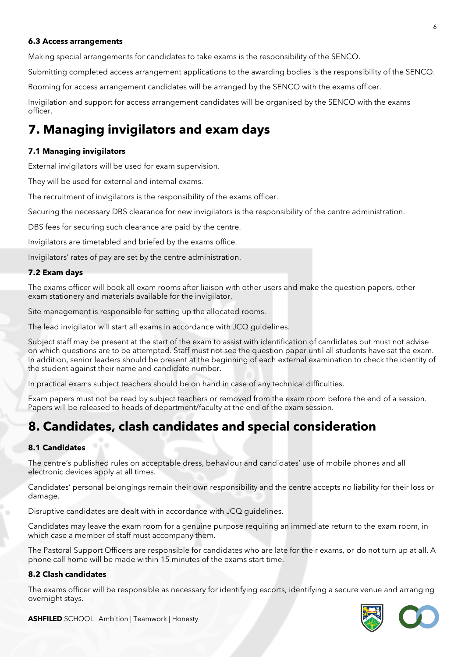#### **6.3 Access arrangements**

Making special arrangements for candidates to take exams is the responsibility of the SENCO.

Submitting completed access arrangement applications to the awarding bodies is the responsibility of the SENCO.

Rooming for access arrangement candidates will be arranged by the SENCO with the exams officer.

Invigilation and support for access arrangement candidates will be organised by the SENCO with the exams officer.

# **7. Managing invigilators and exam days**

### **7.1 Managing invigilators**

External invigilators will be used for exam supervision.

They will be used for external and internal exams.

The recruitment of invigilators is the responsibility of the exams officer.

Securing the necessary DBS clearance for new invigilators is the responsibility of the centre administration.

DBS fees for securing such clearance are paid by the centre.

Invigilators are timetabled and briefed by the exams office.

Invigilators' rates of pay are set by the centre administration.

### **7.2 Exam days**

The exams officer will book all exam rooms after liaison with other users and make the question papers, other exam stationery and materials available for the invigilator.

Site management is responsible for setting up the allocated rooms.

The lead invigilator will start all exams in accordance with JCQ guidelines.

Subject staff may be present at the start of the exam to assist with identification of candidates but must not advise on which questions are to be attempted. Staff must not see the question paper until all students have sat the exam. In addition, senior leaders should be present at the beginning of each external examination to check the identity of the student against their name and candidate number.

In practical exams subject teachers should be on hand in case of any technical difficulties.

Exam papers must not be read by subject teachers or removed from the exam room before the end of a session. Papers will be released to heads of department/faculty at the end of the exam session.

### **8. Candidates, clash candidates and special consideration**

### **8.1 Candidates**

The centre's published rules on acceptable dress, behaviour and candidates' use of mobile phones and all electronic devices apply at all times.

Candidates' personal belongings remain their own responsibility and the centre accepts no liability for their loss or damage.

Disruptive candidates are dealt with in accordance with JCQ guidelines.

Candidates may leave the exam room for a genuine purpose requiring an immediate return to the exam room, in which case a member of staff must accompany them.

The Pastoral Support Officers are responsible for candidates who are late for their exams, or do not turn up at all. A phone call home will be made within 15 minutes of the exams start time.

### **8.2 Clash candidates**

The exams officer will be responsible as necessary for identifying escorts, identifying a secure venue and arranging overnight stays.



**ASHFILED** SCHOOL Ambition | Teamwork | Honesty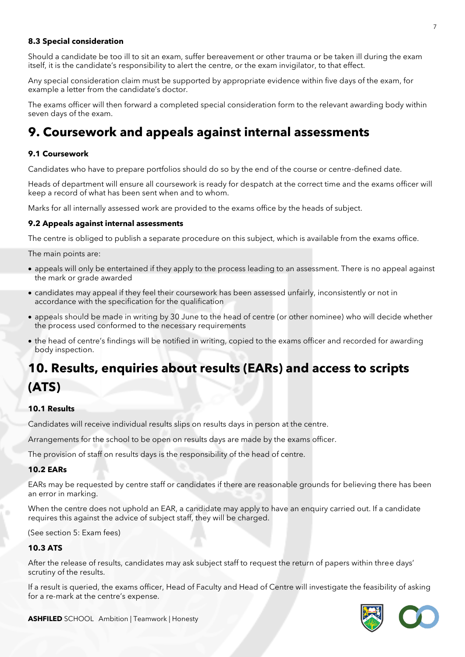### **8.3 Special consideration**

Should a candidate be too ill to sit an exam, suffer bereavement or other trauma or be taken ill during the exam itself, it is the candidate's responsibility to alert the centre, or the exam invigilator, to that effect.

Any special consideration claim must be supported by appropriate evidence within five days of the exam, for example a letter from the candidate's doctor.

The exams officer will then forward a completed special consideration form to the relevant awarding body within seven days of the exam.

### **9. Coursework and appeals against internal assessments**

### **9.1 Coursework**

Candidates who have to prepare portfolios should do so by the end of the course or centre-defined date.

Heads of department will ensure all coursework is ready for despatch at the correct time and the exams officer will keep a record of what has been sent when and to whom.

Marks for all internally assessed work are provided to the exams office by the heads of subject.

#### **9.2 Appeals against internal assessments**

The centre is obliged to publish a separate procedure on this subject, which is available from the exams office.

The main points are:

- appeals will only be entertained if they apply to the process leading to an assessment. There is no appeal against the mark or grade awarded
- candidates may appeal if they feel their coursework has been assessed unfairly, inconsistently or not in accordance with the specification for the qualification
- appeals should be made in writing by 30 June to the head of centre (or other nominee) who will decide whether the process used conformed to the necessary requirements
- the head of centre's findings will be notified in writing, copied to the exams officer and recorded for awarding body inspection.

# **10. Results, enquiries about results (EARs) and access to scripts (ATS)**

#### **10.1 Results**

Candidates will receive individual results slips on results days in person at the centre.

Arrangements for the school to be open on results days are made by the exams officer.

The provision of staff on results days is the responsibility of the head of centre.

### **10.2 EARs**

EARs may be requested by centre staff or candidates if there are reasonable grounds for believing there has been an error in marking.

When the centre does not uphold an EAR, a candidate may apply to have an enquiry carried out. If a candidate requires this against the advice of subject staff, they will be charged.

(See section 5: Exam fees)

### **10.3 ATS**

After the release of results, candidates may ask subject staff to request the return of papers within three days' scrutiny of the results.

If a result is queried, the exams officer, Head of Faculty and Head of Centre will investigate the feasibility of asking for a re-mark at the centre's expense.